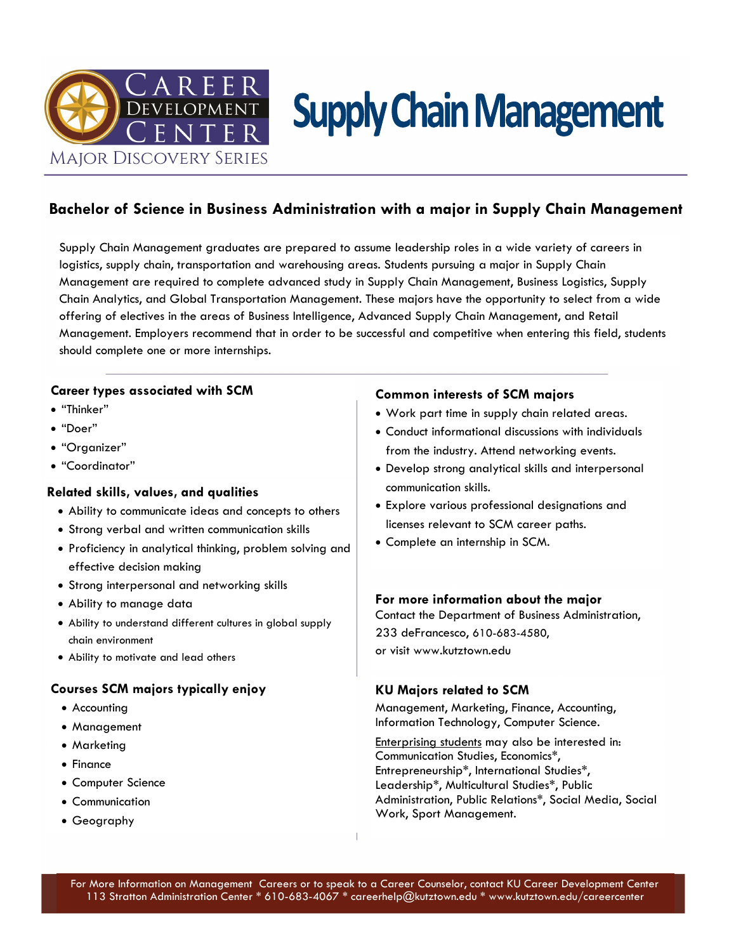

# **Supply Chain Management**

### **Bachelor of Science in Business Administration with a major in Supply Chain Management**

Supply Chain Management graduates are prepared to assume leadership roles in a wide variety of careers in logistics, supply chain, transportation and warehousing areas. Students pursuing a major in Supply Chain Management are required to complete advanced study in Supply Chain Management, Business Logistics, Supply Chain Analytics, and Global Transportation Management. These majors have the opportunity to select from a wide offering of electives in the areas of Business Intelligence, Advanced Supply Chain Management, and Retail Management. Employers recommend that in order to be successful and competitive when entering this field, students should complete one or more internships.

### **Career types associated with SCM**

- "Thinker"
- "Doer"
- "Organizer"
- "Coordinator"

### **Related skills, values, and qualities**

- Ability to communicate ideas and concepts to others
- Strong verbal and written communication skills
- Proficiency in analytical thinking, problem solving and effective decision making
- Strong interpersonal and networking skills
- Ability to manage data
- Ability to understand different cultures in global supply chain environment
- Ability to motivate and lead others

### **Courses SCM majors typically enjoy**

- Accounting
- Management
- Marketing
- Finance
- Computer Science
- Communication
- Geography

### **Common interests of SCM majors**

- Work part time in supply chain related areas.
- Conduct informational discussions with individuals from the industry. Attend networking events.
- Develop strong analytical skills and interpersonal communication skills.
- Explore various professional designations and licenses relevant to SCM career paths.
- Complete an internship in SCM.

### **For more information about the major**

Contact the Department of Business Administration, 233 deFrancesco, 610-683-4580, or visit www.kutztown.edu

### **KU Majors related to SCM**

Management, Marketing, Finance, Accounting, Information Technology, Computer Science.

Enterprising students may also be interested in: Communication Studies, Economics\*, Entrepreneurship\*, International Studies\*, Leadership\*, Multicultural Studies\*, Public Administration, Public Relations\*, Social Media, Social Work, Sport Management.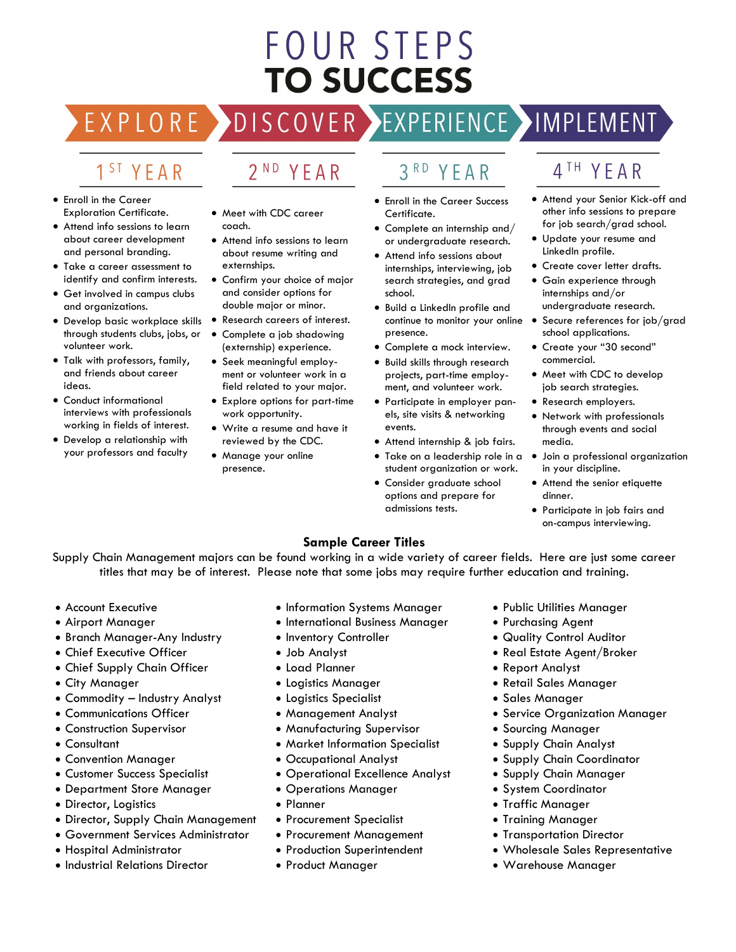## FOUR STEPS **TO SUCCESS**

#### 1 ST YEAR

EXPLORE >

- Enroll in the Career Exploration Certificate.
- Attend info sessions to learn about career development and personal branding.
- Take a career assessment to identify and confirm interests.
- Get involved in campus clubs and organizations.
- Develop basic workplace skills through students clubs, jobs, or volunteer work.
- Talk with professors, family, and friends about career ideas.
- Conduct informational interviews with professionals working in fields of interest.
- Develop a relationship with your professors and faculty

• Meet with CDC career

2<sup>ND</sup> YEAR

coach.

- Attend info sessions to learn about resume writing and externships.
- Confirm your choice of major and consider options for double major or minor.
- Research careers of interest.
- Complete a job shadowing (externship) experience.
- Seek meaningful employment or volunteer work in a field related to your major.
- Explore options for part-time work opportunity.
- Write a resume and have it reviewed by the CDC.
- Manage your online presence.

3RD YEAR

DISCOVER EXPERIENCE MAPLEMENT

- Enroll in the Career Success Certificate.
- Complete an internship and/ or undergraduate research.
- Attend info sessions about internships, interviewing, job search strategies, and grad school.
- Build a LinkedIn profile and continue to monitor your online  $\bullet$ presence.
- Complete a mock interview.
- Build skills through research projects, part-time employment, and volunteer work.
- Participate in employer panels, site visits & networking events.
- Attend internship & job fairs.
- Take on a leadership role in a student organization or work.
- Consider graduate school options and prepare for admissions tests.

### 4TH YEAR

- Attend your Senior Kick-off and other info sessions to prepare for job search/grad school.
- Update your resume and LinkedIn profile.
- Create cover letter drafts.
- Gain experience through internships and/or undergraduate research.
- Secure references for job/grad school applications.
- Create your "30 second" commercial.
- Meet with CDC to develop job search strategies.
- Research employers.
- Network with professionals through events and social media.
- Join a professional organization in your discipline.
- Attend the senior etiquette dinner.
- Participate in job fairs and on-campus interviewing.

### **Sample Career Titles**

Supply Chain Management majors can be found working in a wide variety of career fields. Here are just some career titles that may be of interest. Please note that some jobs may require further education and training.

- Account Executive
- Airport Manager
- Branch Manager-Any Industry
- Chief Executive Officer
- Chief Supply Chain Officer
- City Manager
- Commodity Industry Analyst
- Communications Officer
- Construction Supervisor
- Consultant
- Convention Manager
- Customer Success Specialist
- Department Store Manager
- Director, Logistics
- Director, Supply Chain Management
- Government Services Administrator
- Hospital Administrator
- Industrial Relations Director
- Information Systems Manager
- International Business Manager
- Inventory Controller
- Job Analyst
- Load Planner
- Logistics Manager
- Logistics Specialist
- Management Analyst
- Manufacturing Supervisor
- Market Information Specialist
- Occupational Analyst
- Operational Excellence Analyst
- Operations Manager
- Planner
- Procurement Specialist
- Procurement Management
- Production Superintendent
- Product Manager
- Public Utilities Manager
- Purchasing Agent
- Quality Control Auditor
- Real Estate Agent/Broker
- Report Analyst
- Retail Sales Manager
- Sales Manager
- Service Organization Manager
- Sourcing Manager
- Supply Chain Analyst
- Supply Chain Coordinator
- Supply Chain Manager
- System Coordinator
- Traffic Manager
- Training Manager
- Transportation Director
- Wholesale Sales Representative
- Warehouse Manager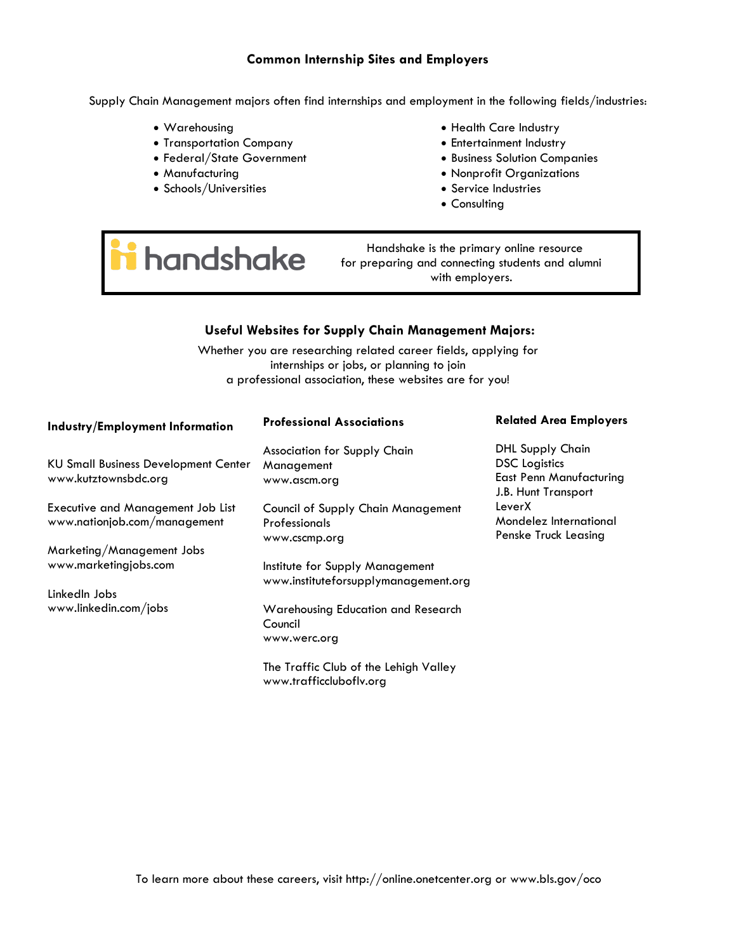### **Common Internship Sites and Employers**

Supply Chain Management majors often find internships and employment in the following fields/industries:

- Warehousing
- Transportation Company
- Federal/State Government
- Manufacturing
- Schools/Universities
- Health Care Industry
- Entertainment Industry
- Business Solution Companies
- Nonprofit Organizations
- Service Industries
- Consulting

# handshake

 Handshake is the primary online resource for preparing and connecting students and alumni with employers.

### **Useful Websites for Supply Chain Management Majors:**

Whether you are researching related career fields, applying for internships or jobs, or planning to join a professional association, these websites are for you!

| Industry/Employment Information                                          | <b>Professional Associations</b>                                            | <b>Related Area Employers</b>                                                                     |
|--------------------------------------------------------------------------|-----------------------------------------------------------------------------|---------------------------------------------------------------------------------------------------|
| <b>KU Small Business Development Center</b><br>www.kutztownsbdc.org      | Association for Supply Chain<br>Management<br>www.ascm.org                  | <b>DHL Supply Chain</b><br><b>DSC</b> Logistics<br>East Penn Manufacturing<br>J.B. Hunt Transport |
| <b>Executive and Management Job List</b><br>www.nationjob.com/management | <b>Council of Supply Chain Management</b><br>Professionals<br>www.cscmp.org | LeverX<br>Mondelez International<br>Penske Truck Leasing                                          |
| Marketing/Management Jobs                                                |                                                                             |                                                                                                   |
| www.marketingjobs.com                                                    | Institute for Supply Management<br>www.instituteforsupplymanagement.org     |                                                                                                   |
| LinkedIn Jobs                                                            |                                                                             |                                                                                                   |
| www.linkedin.com/jobs                                                    | Warehousing Education and Research<br>Council                               |                                                                                                   |
|                                                                          | www.werc.org                                                                |                                                                                                   |
|                                                                          | The Traffic Club of the Lehigh Valley<br>www.trafficcluboflv.org            |                                                                                                   |